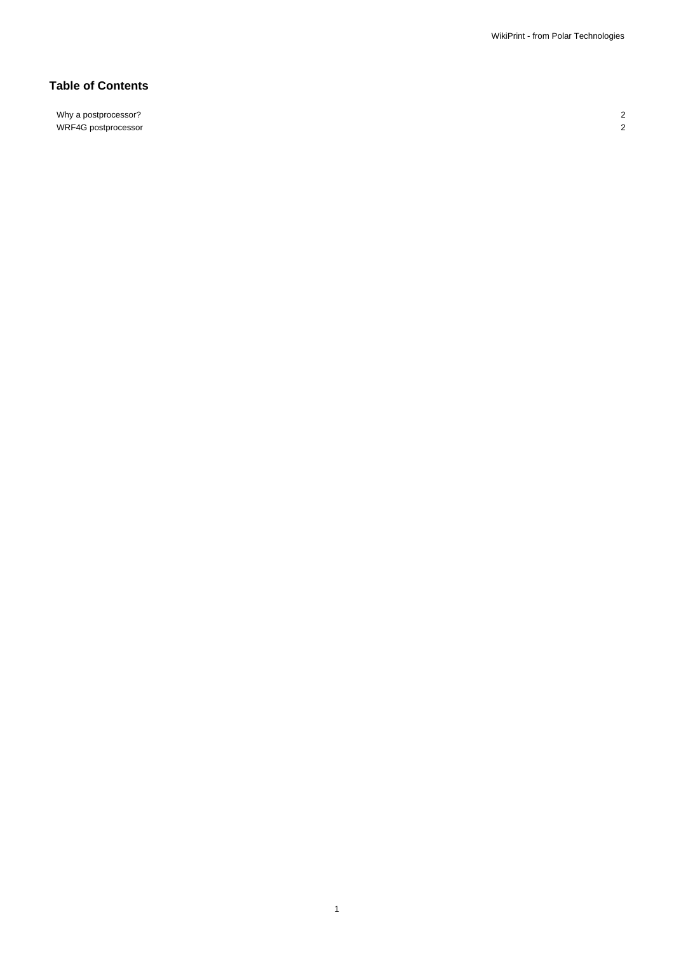## **Table of Contents**

Why a postprocessor? 2 WRF4G postprocessor 2